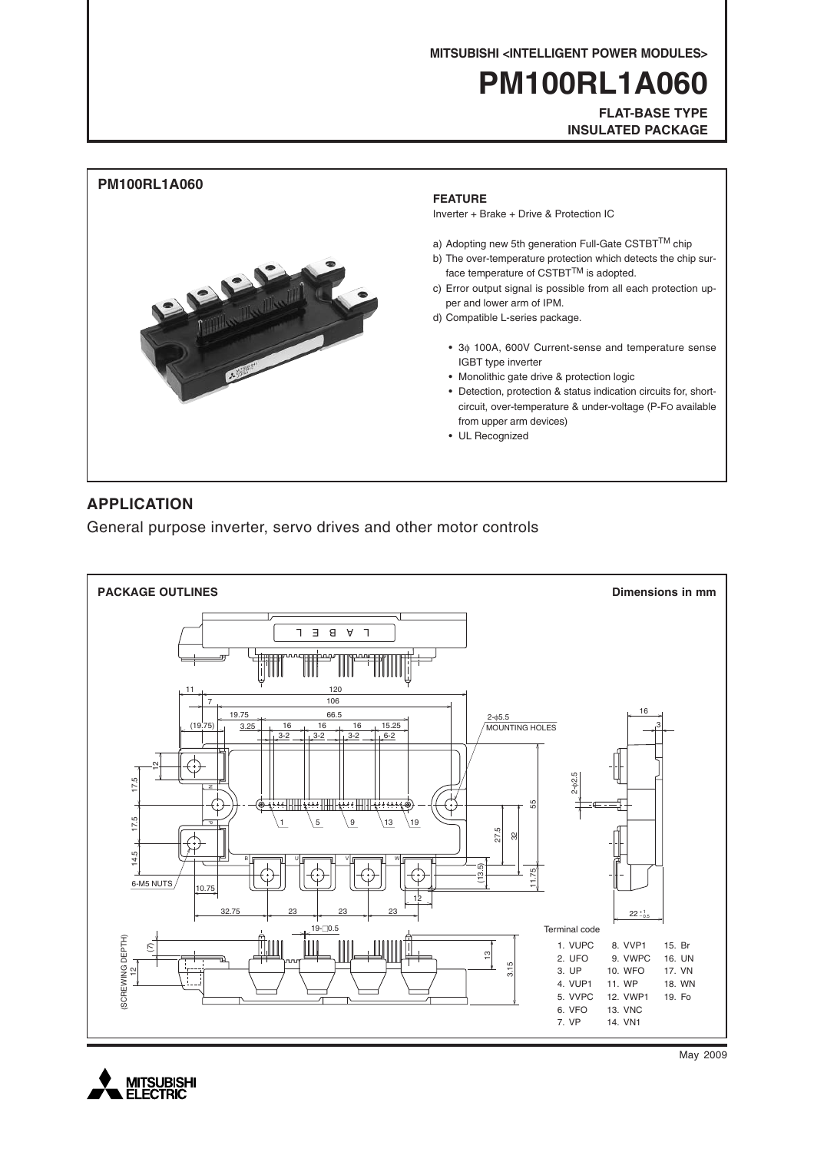**MITSUBISHI <INTELLIGENT POWER MODULES>**

# **PM100RL1A060**

**FLAT-BASE TYPE INSULATED PACKAGE**



# **APPLICATION**

General purpose inverter, servo drives and other motor controls





May 2009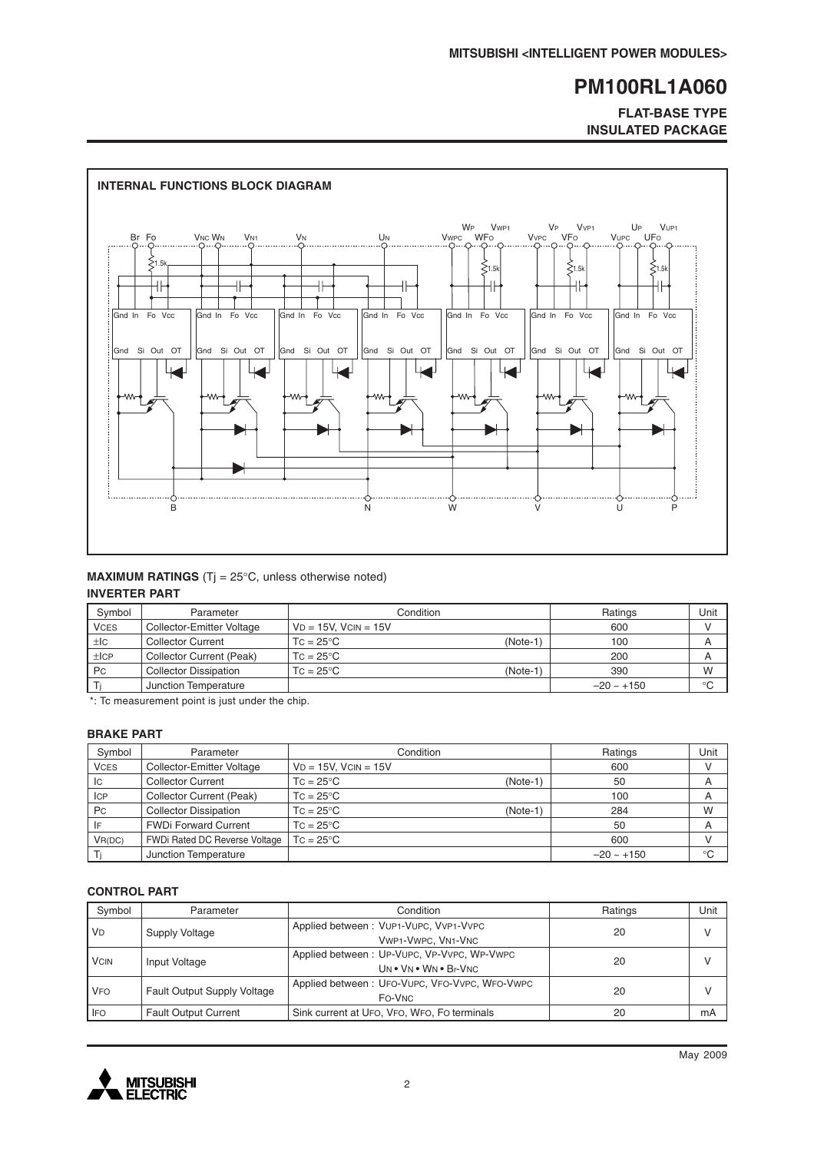# **FLAT-BASE TYPE INSULATED PACKAGE**



### **MAXIMUM RATINGS** (Tj = 25°C, unless otherwise noted) **INVERTER PART**

| Symbol      | Parameter                    | Condition                        | Ratings      | Unit        |
|-------------|------------------------------|----------------------------------|--------------|-------------|
| <b>VCES</b> | Collector-Emitter Voltage    | $VD = 15V$ , $VCIN = 15V$        | 600          |             |
| ±IC         | <b>Collector Current</b>     | $TC = 25^{\circ}C$<br>$(Note-1)$ | 100          | A           |
| ±ICP        | Collector Current (Peak)     | $TC = 25^{\circ}C$               | 200          | A           |
| <b>Pc</b>   | <b>Collector Dissipation</b> | $TC = 25^{\circ}C$<br>$(Note-1)$ | 390          | W           |
|             | Junction Temperature         |                                  | $-20 - +150$ | $^{\circ}C$ |

\*: Tc measurement point is just under the chip.

#### **BRAKE PART**

| Symbol      | Parameter                     | Condition                        | Ratings     | Unit        |
|-------------|-------------------------------|----------------------------------|-------------|-------------|
| <b>VCES</b> | Collector-Emitter Voltage     | $VD = 15V$ , $VCIN = 15V$        | 600         |             |
| Iс          | <b>Collector Current</b>      | $TC = 25^{\circ}C$<br>$(Note-1)$ | 50          | A           |
| <b>ICP</b>  | Collector Current (Peak)      | $TC = 25^{\circ}C$               | 100         | A           |
| Pc          | <b>Collector Dissipation</b>  | $TC = 25^{\circ}C$<br>$(Note-1)$ | 284         | W           |
| IF          | <b>FWDi Forward Current</b>   | $TC = 25^{\circ}C$               | 50          | A           |
| VR(DC)      | FWDi Rated DC Reverse Voltage | $TC = 25^{\circ}C$               | 600         |             |
|             | Junction Temperature          |                                  | $-20 - 150$ | $^{\circ}C$ |

### **CONTROL PART**

| Symbol      | Parameter                          | Condition                                                           | Ratings | Unit         |
|-------------|------------------------------------|---------------------------------------------------------------------|---------|--------------|
| <b>VD</b>   | Supply Voltage                     | Applied between: VUP1-VUPC, VVP1-VVPC<br>VWP1-VWPC, VN1-VNC         | 20      | V            |
| <b>VCIN</b> | Input Voltage                      | Applied between: UP-VUPC, VP-VVPC, WP-VWPC<br>UN . VN . WN . Br-VNC | 20      | $\mathsf{V}$ |
| <b>VFO</b>  | <b>Fault Output Supply Voltage</b> | Applied between: UFO-VUPC, VFO-VVPC, WFO-VWPC<br>FO-VNC             | 20      |              |
| <b>IFO</b>  | <b>Fault Output Current</b>        | Sink current at UFO, VFO, WFO, FO terminals                         | 20      | mA           |

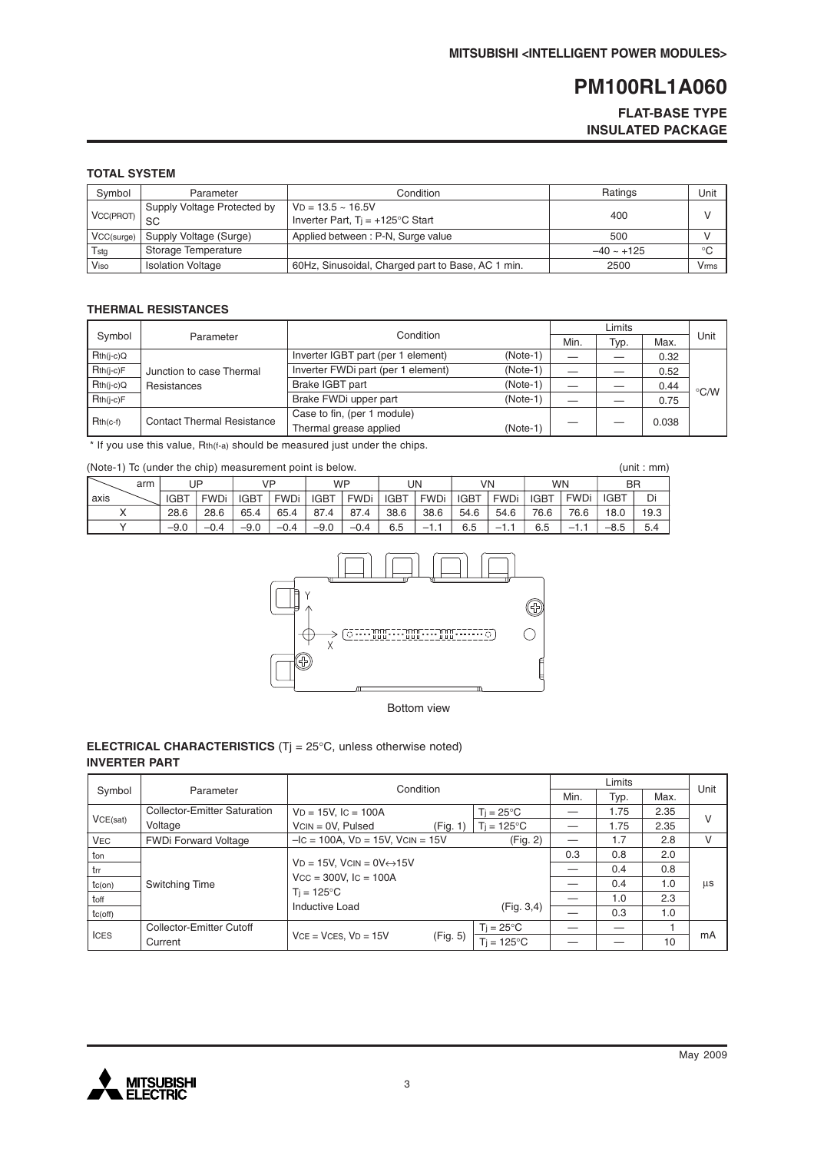## **FLAT-BASE TYPE INSULATED PACKAGE**

## **TOTAL SYSTEM**

| Symbol     | Parameter                         | Condition                                                           | Ratings         | Unit |
|------------|-----------------------------------|---------------------------------------------------------------------|-----------------|------|
| VCC(PROT)  | Supply Voltage Protected by<br>SC | $VD = 13.5 \sim 16.5V$<br>Inverter Part, $Ti = +125^{\circ}C$ Start | 400             |      |
| VCC(surge) | Supply Voltage (Surge)            | Applied between: P-N, Surge value                                   | 500             |      |
| Tstg       | Storage Temperature               |                                                                     | $-40 \sim +125$ | °C   |
| Viso       | <b>Isolation Voltage</b>          | 60Hz, Sinusoidal, Charged part to Base, AC 1 min.                   | 2500            | Vrms |

#### **THERMAL RESISTANCES**

|             |                                         | Condition                          |            |      |      |       |                    |
|-------------|-----------------------------------------|------------------------------------|------------|------|------|-------|--------------------|
| Symbol      | Parameter                               |                                    |            | Min. | Typ. | Max.  | Unit               |
| $Rth(i-c)Q$ | Junction to case Thermal<br>Resistances | Inverter IGBT part (per 1 element) | $(Note-1)$ |      |      | 0.32  |                    |
| Rth(j-c)F   |                                         | Inverter FWDi part (per 1 element) | $(Note-1)$ |      |      | 0.52  |                    |
| $Rth(i-c)Q$ |                                         | Brake IGBT part                    | $(Note-1)$ |      |      | 0.44  | $\rm ^{\circ}$ C/W |
| $Rth(i-c)F$ |                                         | Brake FWDi upper part              | $(Note-1)$ |      |      | 0.75  |                    |
| $Rth(c-f)$  | <b>Contact Thermal Resistance</b>       | Case to fin, (per 1 module)        |            |      |      | 0.038 |                    |
|             |                                         | Thermal grease applied             | $(Note-1)$ |      |      |       |                    |

\* If you use this value, Rth(f-a) should be measured just under the chips.

(Note-1) Tc (under the chip) measurement point is below.

| (Note-1) To (under the chip) measurement point is below.<br>(unit : mm) |        |             |             |             |             |             |             |             |             |             |             |      |             |      |
|-------------------------------------------------------------------------|--------|-------------|-------------|-------------|-------------|-------------|-------------|-------------|-------------|-------------|-------------|------|-------------|------|
| arm                                                                     |        | UP          |             | VP          |             | <b>WP</b>   |             | UN          |             | VN          | <b>WN</b>   |      | <b>BR</b>   |      |
| axis                                                                    | IGBT   | <b>FWDi</b> | <b>IGBT</b> | <b>FWDi</b> | <b>IGBT</b> | <b>FWDi</b> | <b>IGBT</b> | <b>FWDi</b> | <b>IGBT</b> | <b>FWDi</b> | <b>IGBT</b> | FWDi | <b>IGBT</b> | Di   |
|                                                                         | 28.6   | 28.6        | 65.4        | 65.4        | 87.4        | 87.4        | 38.6        | 38.6        | 54.6        | 54.6        | 76.6        | 76.6 | 18.0        | 19.3 |
|                                                                         | $-9.0$ | $-0.4$      | $-9.0$      | $-0.4$      | $-9.0$      | $-0.4$      | 6.5         | — I         | 6.5         | $-1$        | 6.5         | $-1$ | $-8.5$      | 5.4  |



Bottom view

### **ELECTRICAL CHARACTERISTICS** (Tj = 25°C, unless otherwise noted) **INVERTER PART**

|               |                                 |                                              | Condition |                      |      | Limits |      |    |  |
|---------------|---------------------------------|----------------------------------------------|-----------|----------------------|------|--------|------|----|--|
| Symbol        | Parameter                       |                                              | Min.      | Typ.                 | Max. | Unit   |      |    |  |
|               | Collector-Emitter Saturation    | $VD = 15V$ , $IC = 100A$                     |           | $Ti = 25^{\circ}C$   |      | 1.75   | 2.35 |    |  |
| VCE(sat)      | Voltage                         | $VCN = 0V$ , Pulsed                          | (Fig. 1)  | $T_i = 125^{\circ}C$ |      | 1.75   | 2.35 | V  |  |
| <b>VEC</b>    | <b>FWDi Forward Voltage</b>     | $-IC = 100A$ , $VD = 15V$ , $VCIN = 15V$     |           | (Fig. 2)             |      | 1.7    | 2.8  | v  |  |
| ton           |                                 |                                              |           |                      | 0.3  | 0.8    | 2.0  |    |  |
| trr           |                                 | $VD = 15V$ , $VCIN = OV \leftrightarrow 15V$ |           |                      |      | 0.4    | 0.8  |    |  |
| $tc($ on $)$  | Switching Time                  | $Vcc = 300V$ , $lc = 100A$                   |           |                      |      | 0.4    | 1.0  | μs |  |
| toff          |                                 | $T_i = 125^{\circ}C$                         |           |                      |      | 1.0    | 2.3  |    |  |
| $tc($ off $)$ |                                 | Inductive Load                               |           | (Fig. 3, 4)          |      | 0.3    | 1.0  |    |  |
| <b>ICES</b>   | <b>Collector-Emitter Cutoff</b> |                                              |           | $T_i = 25^{\circ}C$  |      |        |      |    |  |
|               | Current                         | $VCE = VCES. VD = 15V$                       | (Fig. 5)  | $Ti = 125^{\circ}C$  |      |        | 10   | mA |  |

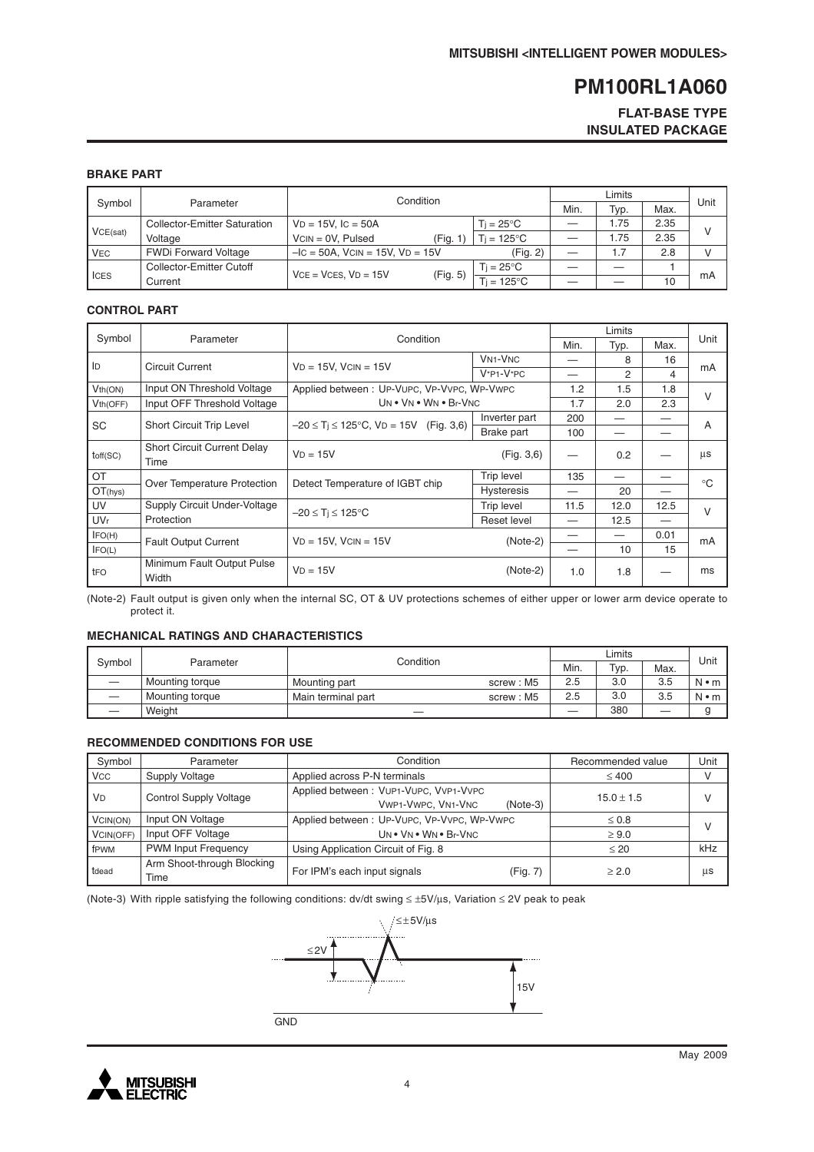## **FLAT-BASE TYPE INSULATED PACKAGE**

## **BRAKE PART**

|            |                                     | Condition                               |                     |  |      |      |      |
|------------|-------------------------------------|-----------------------------------------|---------------------|--|------|------|------|
| Symbol     | Parameter                           |                                         |                     |  |      | Max. | Unit |
|            | <b>Collector-Emitter Saturation</b> | $VD = 15V$ , $IC = 50A$                 | $Ti = 25^{\circ}C$  |  | 1.75 | 2.35 |      |
| VCE(sat)   | Voltage                             | $VCN = 0V$ . Pulsed<br>(Fig. 1          | $Ti = 125^{\circ}C$ |  | 1.75 | 2.35 |      |
| <b>VEC</b> | <b>FWDi Forward Voltage</b>         | $-IC = 50A$ , $VCIN = 15V$ , $VD = 15V$ | (Fig. 2)            |  | 1.7  | 2.8  |      |
| I ICES     | Collector-Emitter Cutoff            | $VCE = VCES. VD = 15V$                  | Ti = 25°C.          |  |      |      |      |
|            | Current                             | (Fig. 5)                                | $=125^{\circ}C$     |  |      | 10   | mA   |

#### **CONTROL PART**

|                       |                                     |                                                 |                   |      | Limits |      |             |  |
|-----------------------|-------------------------------------|-------------------------------------------------|-------------------|------|--------|------|-------------|--|
| Symbol                | Parameter                           | Condition                                       |                   | Min. | Typ.   | Max. | Unit        |  |
| ID                    | <b>Circuit Current</b>              | $VD = 15V$ , $VCIN = 15V$                       | <b>VN1-VNC</b>    |      | 8      | 16   |             |  |
|                       |                                     |                                                 | $V^*P1-V^*PC$     |      | 2      | 4    | mA          |  |
| Vth(ON)               | Input ON Threshold Voltage          | Applied between: UP-VUPC, VP-VVPC, WP-VWPC      |                   | 1.2  | 1.5    | 1.8  | $\vee$      |  |
| V <sub>th</sub> (OFF) | Input OFF Threshold Voltage         | UN . VN . WN . Br-VNC                           |                   | 1.7  | 2.0    | 2.3  |             |  |
| <b>SC</b>             | <b>Short Circuit Trip Level</b>     | $-20 \le T$ i $\le 125$ °C, VD = 15V (Fig. 3,6) | Inverter part     | 200  |        |      | A           |  |
|                       |                                     |                                                 | Brake part        | 100  |        |      |             |  |
| toff(SC)              | <b>Short Circuit Current Delay</b>  | $VD = 15V$                                      | (Fig. 3, 6)       |      | 0.2    |      | μs          |  |
|                       | Time                                |                                                 |                   |      |        |      |             |  |
| OT                    | Over Temperature Protection         | Detect Temperature of IGBT chip                 | <b>Trip level</b> | 135  |        |      | $^{\circ}C$ |  |
| OT(hys)               |                                     |                                                 | <b>Hysteresis</b> |      | 20     |      |             |  |
| UV                    | Supply Circuit Under-Voltage        | $-20 \leq T_i \leq 125^{\circ}C$                | Trip level        | 11.5 | 12.0   | 12.5 | $\vee$      |  |
| <b>UVr</b>            | Protection                          |                                                 | Reset level       |      | 12.5   |      |             |  |
| IFO(H)                |                                     | $VD = 15V$ . $VCIN = 15V$                       | $(Note-2)$        |      |        | 0.01 | mA          |  |
| IFO(L)                | <b>Fault Output Current</b>         |                                                 |                   |      | 10     | 15   |             |  |
| tFO                   | Minimum Fault Output Pulse<br>Width | $VD = 15V$                                      | $(Note-2)$        | 1.0  | 1.8    |      | ms          |  |

(Note-2) Fault output is given only when the internal SC, OT & UV protections schemes of either upper or lower arm device operate to protect it.

#### **MECHANICAL RATINGS AND CHARACTERISTICS**

|        |                 | Condition          |           |      | Limits |      |             |  |
|--------|-----------------|--------------------|-----------|------|--------|------|-------------|--|
| Symbol | Parameter       |                    | Min.      | Typ. | Max.   | Unit |             |  |
|        | Mounting torque | Mounting part      | screw: M5 | 2.5  | 3.0    | 3.5  | $N \cdot m$ |  |
|        | Mounting torque | Main terminal part | screw: M5 | 2.5  | 3.0    | 3.5  | $N \cdot m$ |  |
|        | Weight          |                    |           |      | 380    | __   |             |  |

#### **RECOMMENDED CONDITIONS FOR USE**

| Symbol                | Parameter                          | Condition                                                                 | Recommended value | Unit |  |
|-----------------------|------------------------------------|---------------------------------------------------------------------------|-------------------|------|--|
| <b>V<sub>CC</sub></b> | Supply Voltage                     | Applied across P-N terminals                                              | $\leq 400$        |      |  |
| <b>V<sub>D</sub></b>  | <b>Control Supply Voltage</b>      | Applied between: VUP1-VUPC, VVP1-VVPC<br>VWP1-VWPC, VN1-VNC<br>$(Note-3)$ | $15.0 \pm 1.5$    |      |  |
| VCIN(ON)              | Input ON Voltage                   | Applied between: UP-VUPC, VP-VVPC, WP-VWPC                                | $\leq 0.8$        |      |  |
| VCIN(OFF)             | Input OFF Voltage                  | UN . VN . WN . Br-VNC                                                     | $\geq 9.0$        |      |  |
| fPWM                  | <b>PWM Input Frequency</b>         | Using Application Circuit of Fig. 8                                       | $\leq 20$         | kHz  |  |
| tdead                 | Arm Shoot-through Blocking<br>Time | For IPM's each input signals<br>(Fig. 7)                                  | > 2.0             | μs   |  |

(Note-3) With ripple satisfying the following conditions: dv/dt swing ≤ ±5V/µs, Variation ≤ 2V peak to peak



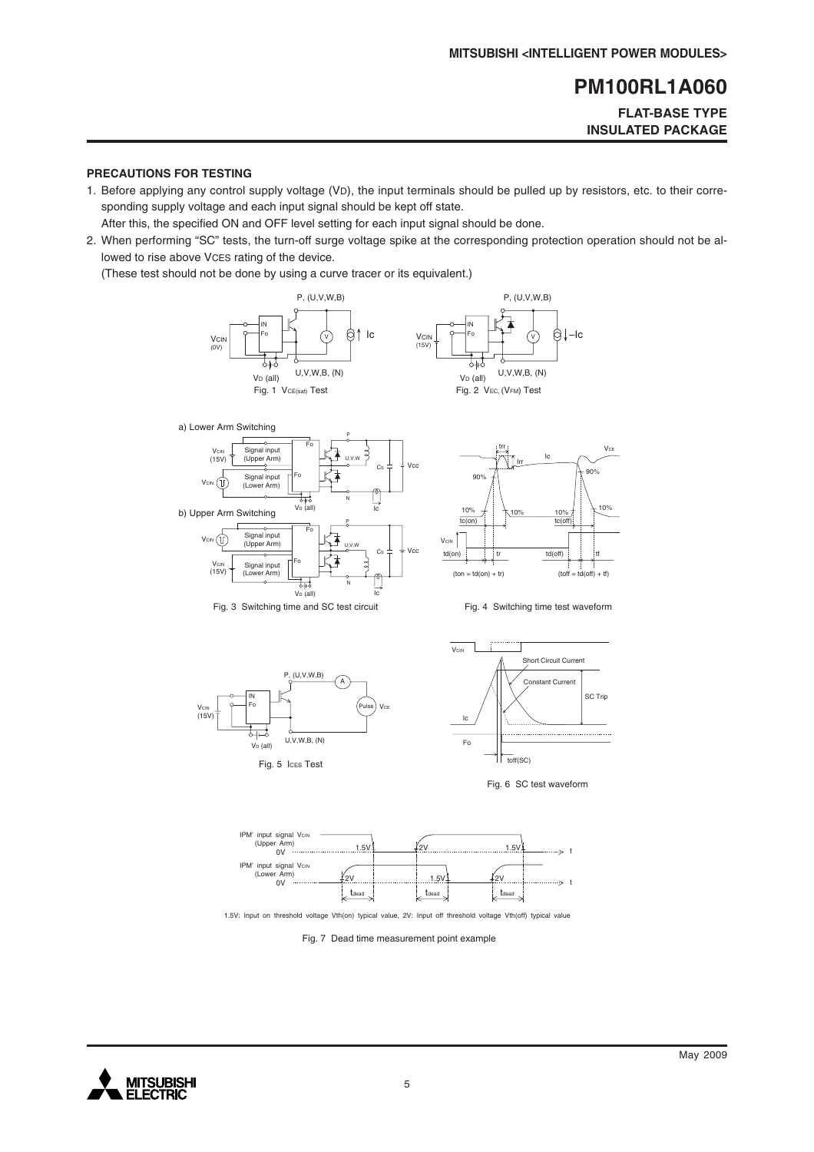# **FLAT-BASE TYPE INSULATED PACKAGE**

#### **PRECAUTIONS FOR TESTING**

1. Before applying any control supply voltage (VD), the input terminals should be pulled up by resistors, etc. to their corresponding supply voltage and each input signal should be kept off state.

After this, the specified ON and OFF level setting for each input signal should be done.

2. When performing "SC" tests, the turn-off surge voltage spike at the corresponding protection operation should not be allowed to rise above VCES rating of the device.

(These test should not be done by using a curve tracer or its equivalent.)















1.5V: Input on threshold voltage Vth(on) typical value, 2V: Input off threshold voltage Vth(off) typical value

Fig. 7 Dead time measurement point example

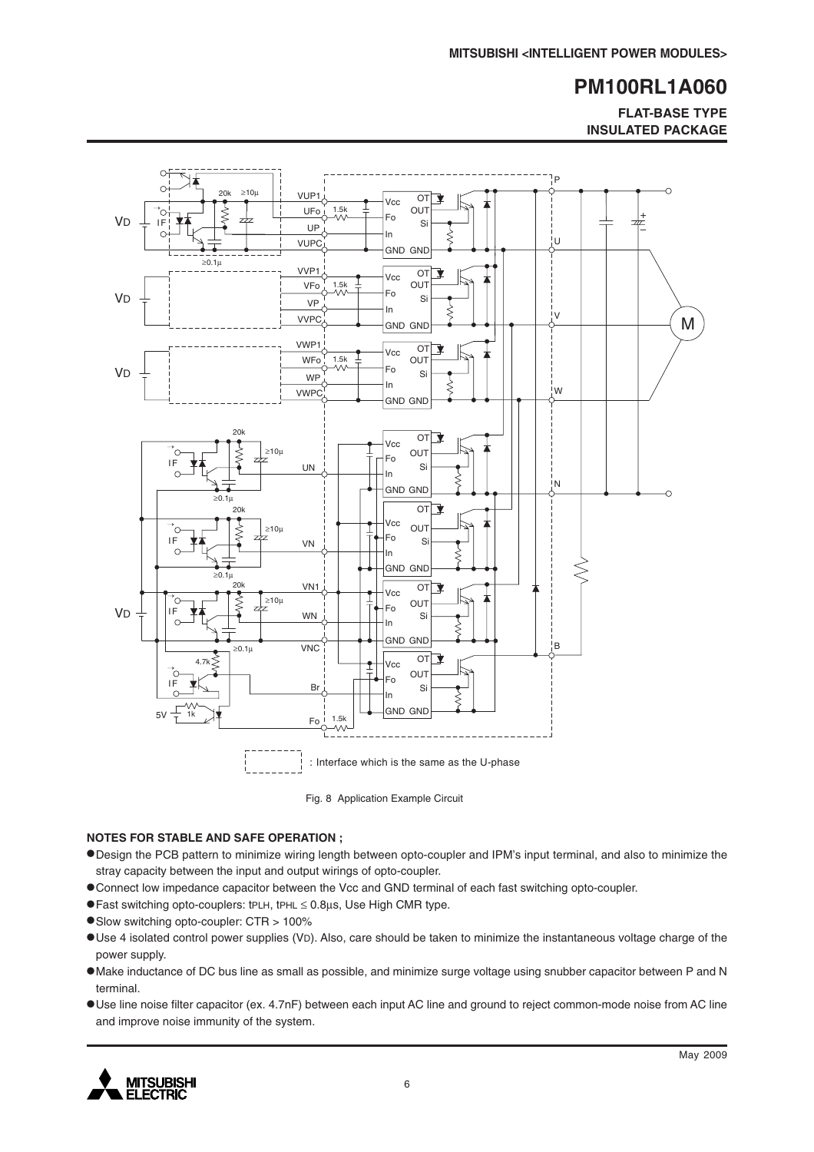**FLAT-BASE TYPE INSULATED PACKAGE**



Fig. 8 Application Example Circuit

#### **NOTES FOR STABLE AND SAFE OPERATION ;**

- •Design the PCB pattern to minimize wiring length between opto-coupler and IPM's input terminal, and also to minimize the stray capacity between the input and output wirings of opto-coupler.
- •Connect low impedance capacitor between the Vcc and GND terminal of each fast switching opto-coupler.
- •Fast switching opto-couplers: tPLH, tPHL <sup>≤</sup> 0.8µs, Use High CMR type.
- •Slow switching opto-coupler: CTR > 100%
- •Use 4 isolated control power supplies (VD). Also, care should be taken to minimize the instantaneous voltage charge of the power supply.
- •Make inductance of DC bus line as small as possible, and minimize surge voltage using snubber capacitor between P and N terminal.
- •Use line noise filter capacitor (ex. 4.7nF) between each input AC line and ground to reject common-mode noise from AC line and improve noise immunity of the system.

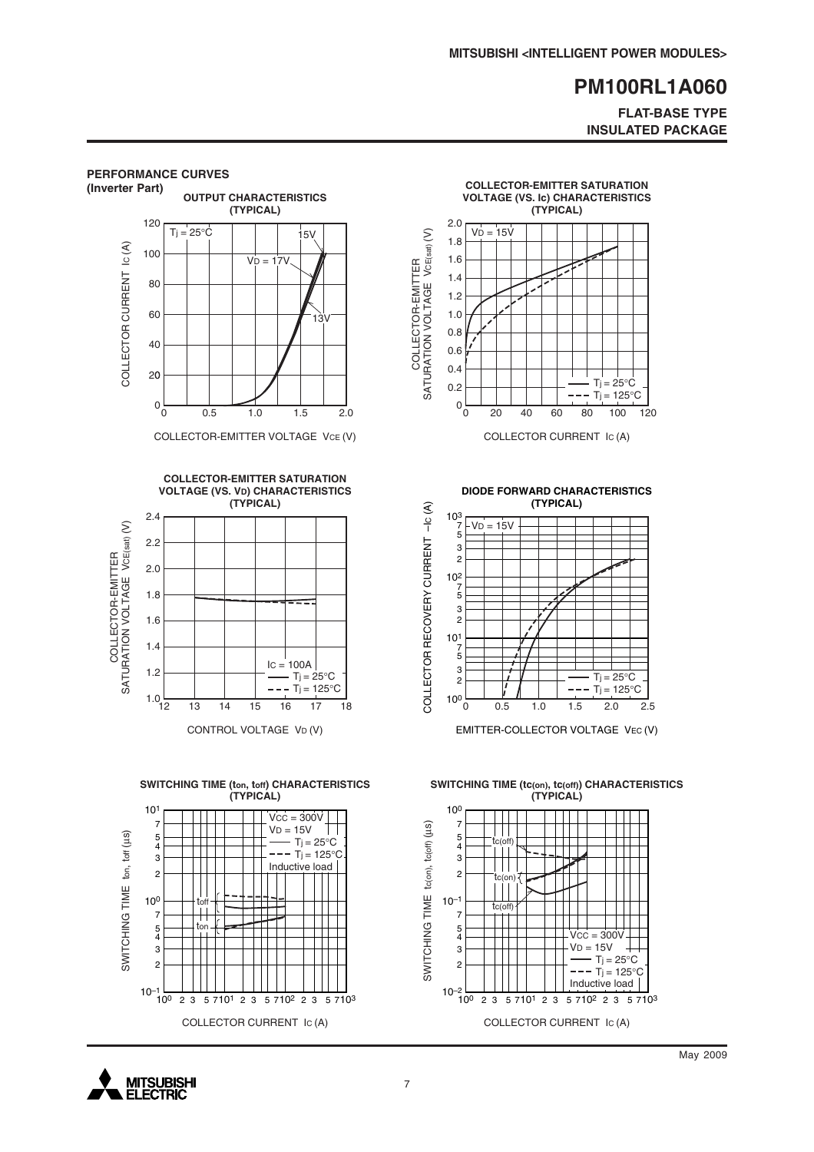### **FLAT-BASE TYPE INSULATED PACKAGE**



**MITSUBISHI ELECTRIC**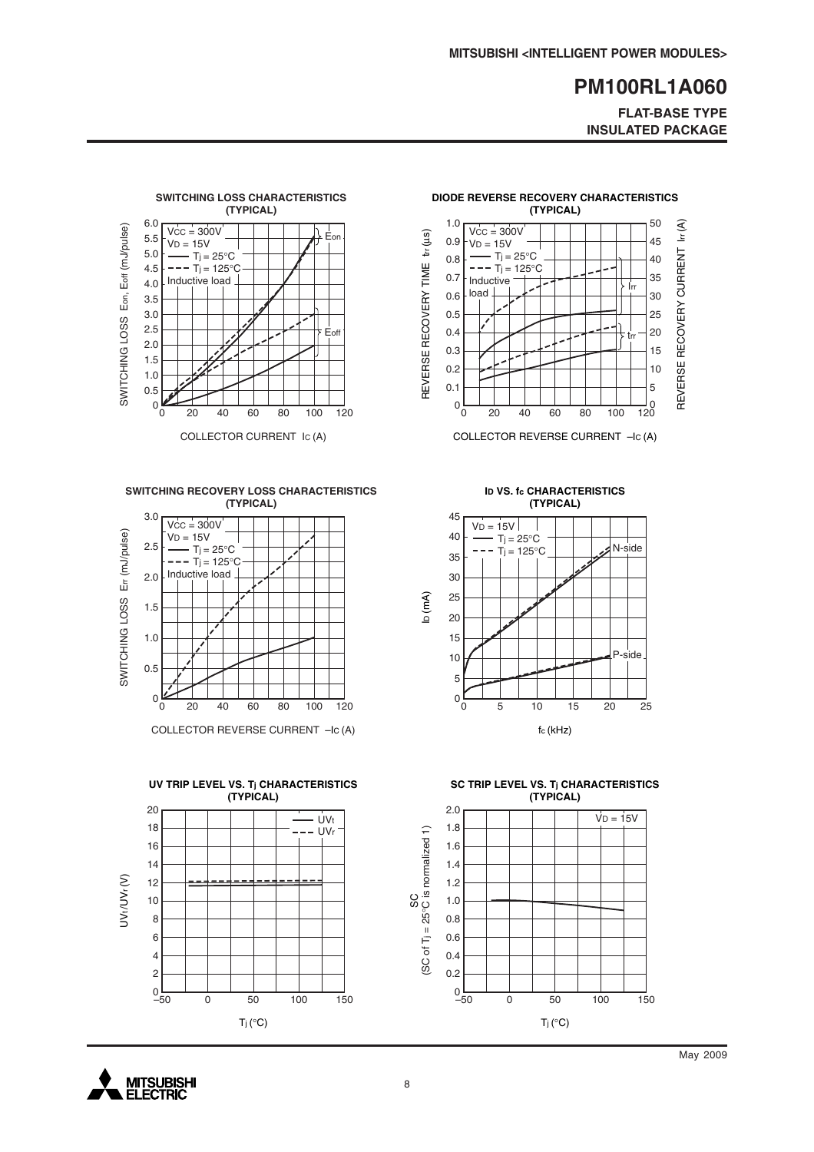**FLAT-BASE TYPE INSULATED PACKAGE**



**SWITCHING RECOVERY LOSS CHARACTERISTICS (TYPICAL)**



COLLECTOR REVERSE CURRENT –IC (A)





COLLECTOR REVERSE CURRENT –IC (A)

**ID VS. fc CHARACTERISTICS (TYPICAL)**



**SC TRIP LEVEL VS. Tj CHARACTERISTICS (TYPICAL)**